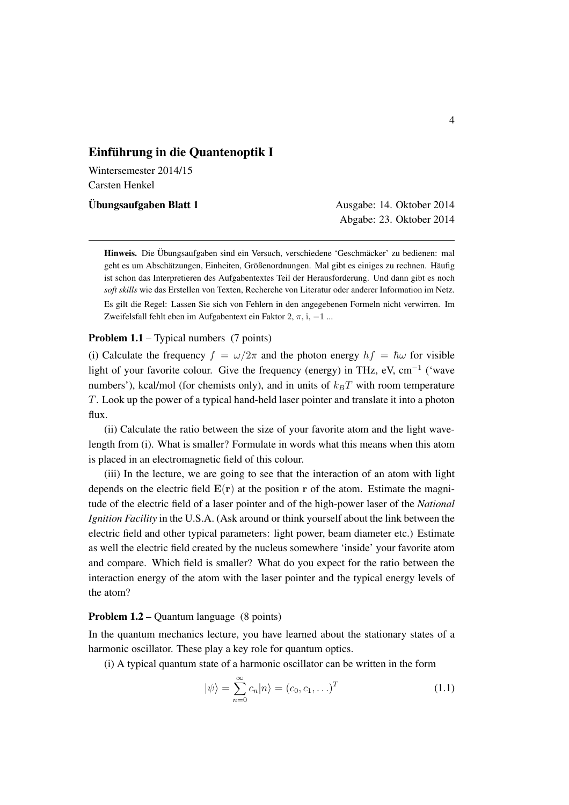## Einführung in die Quantenoptik I

Wintersemester 2014/15 Carsten Henkel

Ubungsaufgaben Blatt 1 ¨ Ausgabe: 14. Oktober 2014

Abgabe: 23. Oktober 2014

Hinweis. Die Übungsaufgaben sind ein Versuch, verschiedene 'Geschmäcker' zu bedienen: mal geht es um Abschätzungen, Einheiten, Größenordnungen. Mal gibt es einiges zu rechnen. Häufig ist schon das Interpretieren des Aufgabentextes Teil der Herausforderung. Und dann gibt es noch *soft skills* wie das Erstellen von Texten, Recherche von Literatur oder anderer Information im Netz. Es gilt die Regel: Lassen Sie sich von Fehlern in den angegebenen Formeln nicht verwirren. Im Zweifelsfall fehlt eben im Aufgabentext ein Faktor 2,  $\pi$ , i, -1 ...

## Problem 1.1 – Typical numbers (7 points)

(i) Calculate the frequency  $f = \omega/2\pi$  and the photon energy  $hf = \hbar\omega$  for visible light of your favorite colour. Give the frequency (energy) in THz, eV,  $cm^{-1}$  ('wave numbers'), kcal/mol (for chemists only), and in units of  $k_B T$  with room temperature *T*. Look up the power of a typical hand-held laser pointer and translate it into a photon flux.

(ii) Calculate the ratio between the size of your favorite atom and the light wavelength from (i). What is smaller? Formulate in words what this means when this atom is placed in an electromagnetic field of this colour.

(iii) In the lecture, we are going to see that the interaction of an atom with light depends on the electric field  $E(r)$  at the position r of the atom. Estimate the magnitude of the electric field of a laser pointer and of the high-power laser of the *National Ignition Facility* in the U.S.A. (Ask around or think yourself about the link between the electric field and other typical parameters: light power, beam diameter etc.) Estimate as well the electric field created by the nucleus somewhere 'inside' your favorite atom and compare. Which field is smaller? What do you expect for the ratio between the interaction energy of the atom with the laser pointer and the typical energy levels of the atom?

## Problem 1.2 – Quantum language (8 points)

In the quantum mechanics lecture, you have learned about the stationary states of a harmonic oscillator. These play a key role for quantum optics.

(i) A typical quantum state of a harmonic oscillator can be written in the form

$$
|\psi\rangle = \sum_{n=0}^{\infty} c_n |n\rangle = (c_0, c_1, \ldots)^T
$$
 (1.1)